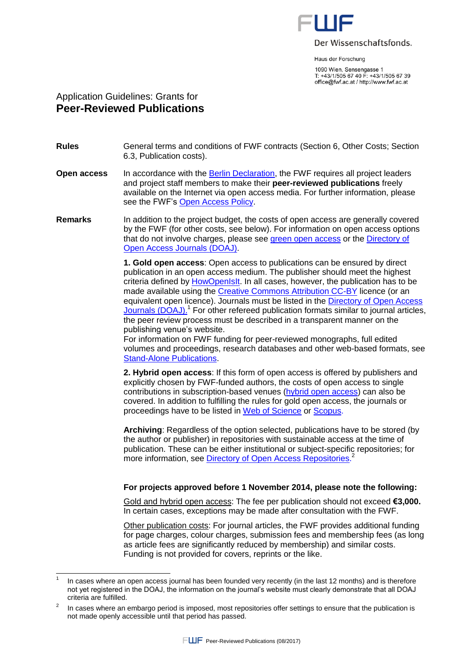

Haus der Forschung

1090 Wien, Sensengasse 1 T: +43/1/505 67 40 F: +43/1/505 67 39 office@fwf.ac.at / http://www.fwf.ac.at

## Application Guidelines: Grants for **Peer-Reviewed Publications**

 $\overline{a}$ 

## **Rules** General terms and conditions of FWF contracts (Section 6, Other Costs; Section 6.3, Publication costs).

- **Open access** In accordance with the [Berlin Declaration,](http://www.zim.mpg.de/openaccess-berlin/berlin_declaration.pdf) the FWF requires all project leaders and project staff members to make their **peer-reviewed publications** freely available on the Internet via open access media. For further information, please see the FWF's [Open Access Policy.](http://www.fwf.ac.at/en/public_relations/oai/index.html)
- **Remarks** In addition to the project budget, the costs of open access are generally covered by the FWF (for other costs, see below). For information on open access options that do not involve charges, please see [green open access](http://www.fwf.ac.at/en/public_relations/oai/index.html) or the [Directory of](http://doaj.org/search?source=%7b%22query%22:%7b%22filtered%22:%7b%22query%22:%7b%22match_all%22:%7b%7d%7d,%22filter%22:%7b%22bool%22:%7b%22must%22:%5b%7b%22term%22:%7b%22bibjson.author_pays.exact%22:%22N%22%7d%7d%5d%7d%7d%7d%7d%7d)  [Open Access Journals \(DOAJ\).](http://doaj.org/search?source=%7b%22query%22:%7b%22filtered%22:%7b%22query%22:%7b%22match_all%22:%7b%7d%7d,%22filter%22:%7b%22bool%22:%7b%22must%22:%5b%7b%22term%22:%7b%22bibjson.author_pays.exact%22:%22N%22%7d%7d%5d%7d%7d%7d%7d%7d)

**1. Gold open access**: Open access to publications can be ensured by direct publication in an open access medium. The publisher should meet the highest criteria defined b[y HowOpenIsIt.](http://www.sparc.arl.org/resource/howopenisit) In all cases, however, the publication has to be made available using the [Creative Commons Attribution CC-BY](https://creativecommons.org/licenses/by/4.0/) licence (or an equivalent open licence). Journals must be listed in the Directory of Open Access [Journals \(DOAJ\).](http://doaj.org/)<sup>1</sup> For other refereed publication formats similar to journal articles, the peer review process must be described in a transparent manner on the publishing venue's website.

For information on FWF funding for peer-reviewed monographs, full edited volumes and proceedings, research databases and other web-based formats, see [Stand-Alone Publications.](https://www.fwf.ac.at/en/research-funding/fwf-programmes/stand-alone-publications/)

**2. Hybrid open access**: If this form of open access is offered by publishers and explicitly chosen by FWF-funded authors, the costs of open access to single contributions in subscription-based venues [\(hybrid open access\)](http://en.wikipedia.org/wiki/Hybrid_open_access_journal) can also be covered. In addition to fulfilling the rules for gold open access, the journals or proceedings have to be listed in [Web of Science](http://ip-science.thomsonreuters.com/mjl/) or [Scopus.](http://www.elsevier.com/online-tools/scopus/content-overview)

**Archiving**: Regardless of the option selected, publications have to be stored (by the author or publisher) in repositories with sustainable access at the time of publication. These can be either institutional or subject-specific repositories; for more information, see [Directory of Open Access Repositories.](http://www.opendoar.org/) 2

## **For projects approved before 1 November 2014, please note the following:**

Gold and hybrid open access: The fee per publication should not exceed **€3,000.** In certain cases, exceptions may be made after consultation with the FWF.

Other publication costs: For journal articles, the FWF provides additional funding for page charges, colour charges, submission fees and membership fees (as long as article fees are significantly reduced by membership) and similar costs. Funding is not provided for covers, reprints or the like.

<sup>1</sup> In cases where an open access journal has been founded very recently (in the last 12 months) and is therefore not yet registered in the DOAJ, the information on the journal's website must clearly demonstrate that all DOAJ criteria are fulfilled.

 $\overline{2}$ In cases where an embargo period is imposed, most repositories offer settings to ensure that the publication is not made openly accessible until that period has passed.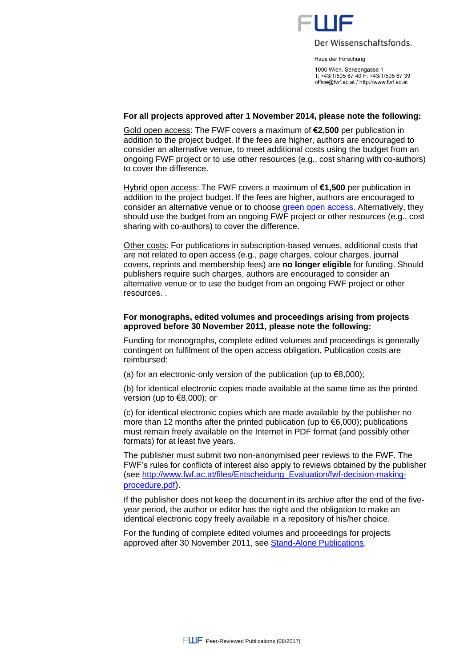

Der Wissenschaftsfonds.

Haus der Forschung

1090 Wien, Sensengasse 1 T: +43/1/505 67 40 F: +43/1/505 67 39 office@fwf.ac.at / http://www.fwf.ac.at

#### **For all projects approved after 1 November 2014, please note the following:**

Gold open access: The FWF covers a maximum of **€2,500** per publication in addition to the project budget. If the fees are higher, authors are encouraged to consider an alternative venue, to meet additional costs using the budget from an ongoing FWF project or to use other resources (e.g., cost sharing with co-authors) to cover the difference.

Hybrid open access: The FWF covers a maximum of **€1,500** per publication in addition to the project budget. If the fees are higher, authors are encouraged to consider an alternative venue or to choos[e green open access.](https://www.fwf.ac.at/en/research-funding/open-access-policy/) Alternatively, they should use the budget from an ongoing FWF project or other resources (e.g., cost sharing with co-authors) to cover the difference.

Other costs: For publications in subscription-based venues, additional costs that are not related to open access (e.g., page charges, colour charges, journal covers, reprints and membership fees) are **no longer eligible** for funding. Should publishers require such charges, authors are encouraged to consider an alternative venue or to use the budget from an ongoing FWF project or other resources. .

#### **For monographs, edited volumes and proceedings arising from projects approved before 30 November 2011, please note the following:**

Funding for monographs, complete edited volumes and proceedings is generally contingent on fulfilment of the open access obligation. Publication costs are reimbursed:

(a) for an electronic-only version of the publication (up to  $\epsilon$ 8,000);

(b) for identical electronic copies made available at the same time as the printed version (up to €8,000); or

(c) for identical electronic copies which are made available by the publisher no more than 12 months after the printed publication (up to  $\epsilon$ 6,000); publications must remain freely available on the Internet in PDF format (and possibly other formats) for at least five years.

The publisher must submit two non-anonymised peer reviews to the FWF. The FWF's rules for conflicts of interest also apply to reviews obtained by the publisher (see [http://www.fwf.ac.at/files/Entscheidung\\_Evaluation/fwf-decision-making](http://www.fwf.ac.at/files/Entscheidung_Evaluation/fwf-decision-making-procedure.pdf)[procedure.pdf](http://www.fwf.ac.at/files/Entscheidung_Evaluation/fwf-decision-making-procedure.pdf)).

If the publisher does not keep the document in its archive after the end of the fiveyear period, the author or editor has the right and the obligation to make an identical electronic copy freely available in a repository of his/her choice.

For the funding of complete edited volumes and proceedings for projects approved after 30 November 2011, see [Stand-Alone Publications.](https://www.fwf.ac.at/en/research-funding/fwf-programmes/stand-alone-publications/)